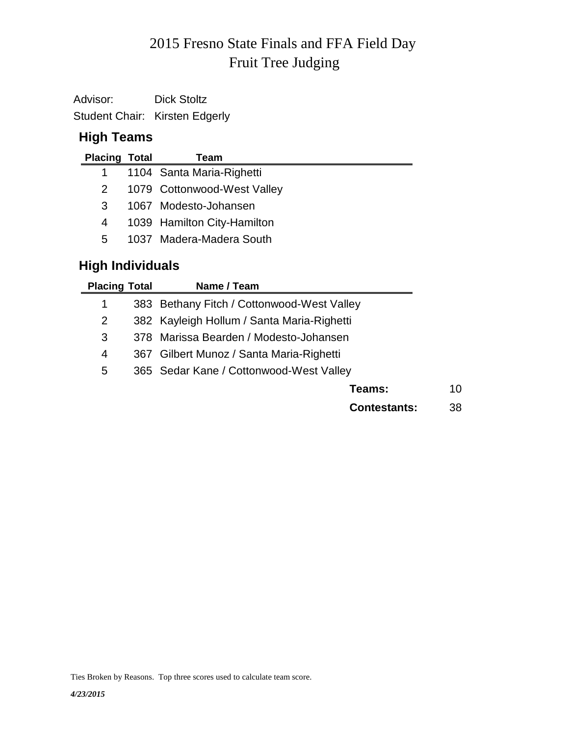# Fruit Tree Judging 2015 Fresno State Finals and FFA Field Day

Advisor: Dick Stoltz Student Chair: Kirsten Edgerly

## **High Teams**

| <b>Placing Total</b> | Team                        |
|----------------------|-----------------------------|
|                      | 1104 Santa Maria-Righetti   |
| 2                    | 1079 Cottonwood-West Valley |
| 3                    | 1067 Modesto-Johansen       |
| 4                    | 1039 Hamilton City-Hamilton |
| 5.                   | 1037 Madera-Madera South    |

## **High Individuals**

| <b>Placing Total</b> | Name / Team                                |    |
|----------------------|--------------------------------------------|----|
| 1                    | 383 Bethany Fitch / Cottonwood-West Valley |    |
| 2                    | 382 Kayleigh Hollum / Santa Maria-Righetti |    |
| 3                    | 378 Marissa Bearden / Modesto-Johansen     |    |
| 4                    | 367 Gilbert Munoz / Santa Maria-Righetti   |    |
| 5                    | 365 Sedar Kane / Cottonwood-West Valley    |    |
|                      | Teams:                                     | 10 |
|                      | <b>Contestants:</b>                        | 38 |

Ties Broken by Reasons. Top three scores used to calculate team score.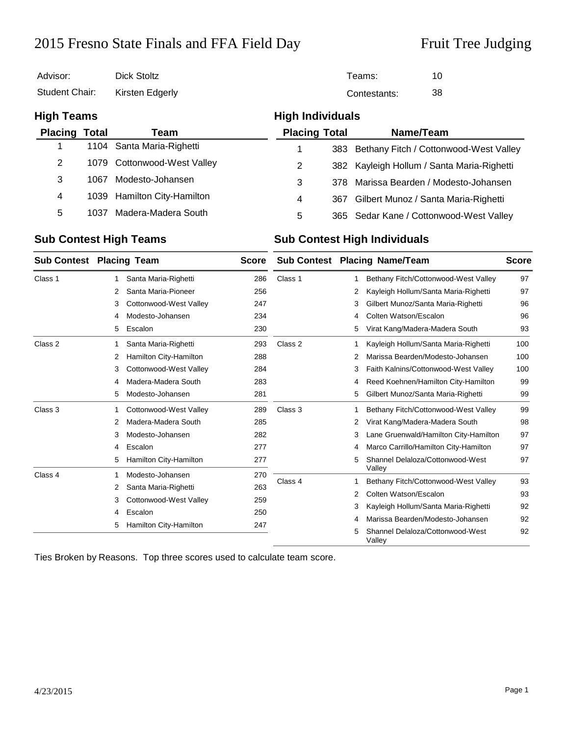## 2015 Fresno State Finals and FFA Field Day Fruit Tree Judging

Valley

| Advisor:              |      | <b>Dick Stoltz</b>          |                      |                         | 10<br>Teams:                               |  |  |  |
|-----------------------|------|-----------------------------|----------------------|-------------------------|--------------------------------------------|--|--|--|
| <b>Student Chair:</b> |      | Kirsten Edgerly             |                      |                         | 38<br>Contestants:                         |  |  |  |
| <b>High Teams</b>     |      |                             |                      | <b>High Individuals</b> |                                            |  |  |  |
| <b>Placing Total</b>  |      | Team                        | <b>Placing Total</b> |                         | Name/Team                                  |  |  |  |
|                       | 1104 | Santa Maria-Righetti        |                      |                         | 383 Bethany Fitch / Cottonwood-West Valley |  |  |  |
| $\overline{2}$        |      | 1079 Cottonwood-West Valley | 2                    |                         | 382 Kayleigh Hollum / Santa Maria-Righetti |  |  |  |
| 3                     | 1067 | Modesto-Johansen            | 3                    | 378                     | Marissa Bearden / Modesto-Johansen         |  |  |  |
| 4                     | 1039 | Hamilton City-Hamilton      | 4                    | 367                     | Gilbert Munoz / Santa Maria-Righetti       |  |  |  |
| 5                     | 1037 | Madera-Madera South         | 5                    |                         | 365 Sedar Kane / Cottonwood-West Valley    |  |  |  |

### **Sub Contest High Teams Sub Contest High Individuals**

|         | <b>Sub Contest Placing Team</b>                                 | <b>Score</b>                                                | <b>Sub Contest Placing Name/Team</b> |   | <b>Score</b>                               |     |
|---------|-----------------------------------------------------------------|-------------------------------------------------------------|--------------------------------------|---|--------------------------------------------|-----|
| Class 1 | Santa Maria-Righetti<br>1                                       | 286                                                         | Class 1                              | 1 | Bethany Fitch/Cottonwood-West Valley       | 97  |
|         | Santa Maria-Pioneer<br>2                                        | 256                                                         |                                      | 2 | Kayleigh Hollum/Santa Maria-Righetti       | 97  |
|         | Cottonwood-West Valley<br>3                                     | 247                                                         |                                      | 3 | Gilbert Munoz/Santa Maria-Righetti         | 96  |
|         | Modesto-Johansen<br>4                                           | 234                                                         |                                      | 4 | Colten Watson/Escalon                      | 96  |
|         | Escalon<br>5                                                    | 230                                                         |                                      | 5 | Virat Kang/Madera-Madera South             | 93  |
| Class 2 | Santa Maria-Righetti                                            | 293                                                         | Class 2                              | 1 | Kayleigh Hollum/Santa Maria-Righetti       | 100 |
|         | Hamilton City-Hamilton<br>2                                     | 288                                                         |                                      | 2 | Marissa Bearden/Modesto-Johansen           | 100 |
|         | 3                                                               | Cottonwood-West Valley<br>284<br>Madera-Madera South<br>283 |                                      | 3 | Faith Kalnins/Cottonwood-West Valley       | 100 |
|         | 4                                                               |                                                             |                                      | 4 | Reed Koehnen/Hamilton City-Hamilton        | 99  |
|         | Modesto-Johansen<br>5                                           | 281                                                         |                                      | 5 | Gilbert Munoz/Santa Maria-Righetti         | 99  |
| Class 3 | Cottonwood-West Valley                                          | 289                                                         | Class 3                              | 1 | Bethany Fitch/Cottonwood-West Valley       | 99  |
|         | Madera-Madera South<br>285<br>2<br>Modesto-Johansen<br>282<br>3 |                                                             |                                      | 2 | Virat Kang/Madera-Madera South             | 98  |
|         |                                                                 |                                                             |                                      | 3 | Lane Gruenwald/Hamilton City-Hamilton      | 97  |
|         | Escalon<br>4                                                    | 277                                                         |                                      | 4 | Marco Carrillo/Hamilton City-Hamilton      | 97  |
|         | Hamilton City-Hamilton<br>5                                     | 277                                                         |                                      | 5 | Shannel Delaloza/Cottonwood-West<br>Valley | 97  |
| Class 4 | Modesto-Johansen                                                | 270                                                         | Class 4                              | 1 | Bethany Fitch/Cottonwood-West Valley       | 93  |
|         | Santa Maria-Righetti<br>2                                       | 263                                                         |                                      |   | Colten Watson/Escalon                      | 93  |
|         | Cottonwood-West Valley<br>3                                     | 259                                                         |                                      | 2 |                                            |     |
|         | Escalon<br>4                                                    | 250                                                         |                                      | 3 | Kayleigh Hollum/Santa Maria-Righetti       | 92  |
|         | Hamilton City-Hamilton<br>5                                     | 247                                                         |                                      | 4 | Marissa Bearden/Modesto-Johansen           | 92  |
|         |                                                                 |                                                             |                                      | 5 | Shannel Delaloza/Cottonwood-West<br>Valley | 92  |

Ties Broken by Reasons. Top three scores used to calculate team score.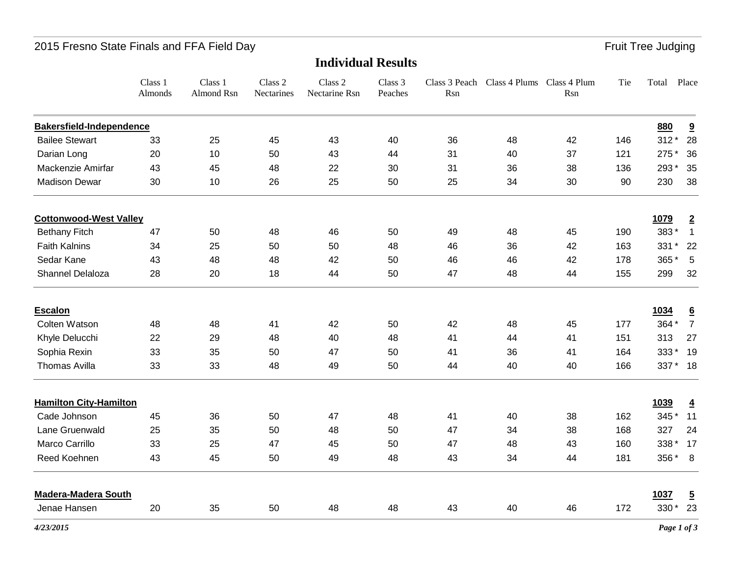## 2015 Fresno State Finals and FFA Field Day **Fruit Tree Judging** Fruit Tree Judging

|                                 | Class 1<br>Almonds | Class 1<br>Almond Rsn | Class 2<br>Nectarines | Class 2<br>Nectarine Rsn | Class 3<br>Peaches | Rsn | Class 3 Peach Class 4 Plums Class 4 Plum | Rsn | Tie | Total    | Place                   |
|---------------------------------|--------------------|-----------------------|-----------------------|--------------------------|--------------------|-----|------------------------------------------|-----|-----|----------|-------------------------|
| <b>Bakersfield-Independence</b> |                    |                       |                       |                          |                    |     |                                          |     |     | 880      | $\overline{\mathbf{a}}$ |
| <b>Bailee Stewart</b>           | 33                 | 25                    | 45                    | 43                       | 40                 | 36  | 48                                       | 42  | 146 | $312*$   | 28                      |
| Darian Long                     | 20                 | 10                    | 50                    | 43                       | 44                 | 31  | 40                                       | 37  | 121 | 275 *    | 36                      |
| Mackenzie Amirfar               | 43                 | 45                    | 48                    | 22                       | 30                 | 31  | 36                                       | 38  | 136 | 293 *    | 35                      |
| <b>Madison Dewar</b>            | 30                 | 10                    | 26                    | 25                       | 50                 | 25  | 34                                       | 30  | 90  | 230      | 38                      |
| <b>Cottonwood-West Valley</b>   |                    |                       |                       |                          |                    |     |                                          |     |     | 1079     | $\overline{2}$          |
| <b>Bethany Fitch</b>            | 47                 | 50                    | 48                    | 46                       | 50                 | 49  | 48                                       | 45  | 190 | 383*     | $\mathbf{1}$            |
| <b>Faith Kalnins</b>            | 34                 | 25                    | 50                    | 50                       | 48                 | 46  | 36                                       | 42  | 163 | 331 *    | 22                      |
| Sedar Kane                      | 43                 | 48                    | 48                    | 42                       | 50                 | 46  | 46                                       | 42  | 178 | 365*     | 5                       |
| Shannel Delaloza                | 28                 | 20                    | 18                    | 44                       | 50                 | 47  | 48                                       | 44  | 155 | 299      | 32                      |
| <b>Escalon</b>                  |                    |                       |                       |                          |                    |     |                                          |     |     | 1034     | $\underline{6}$         |
| Colten Watson                   | 48                 | 48                    | 41                    | 42                       | 50                 | 42  | 48                                       | 45  | 177 | 364 *    | $\overline{7}$          |
| Khyle Delucchi                  | 22                 | 29                    | 48                    | 40                       | 48                 | 41  | 44                                       | 41  | 151 | 313      | 27                      |
| Sophia Rexin                    | 33                 | 35                    | 50                    | 47                       | 50                 | 41  | 36                                       | 41  | 164 | 333*     | 19                      |
| <b>Thomas Avilla</b>            | 33                 | 33                    | 48                    | 49                       | 50                 | 44  | 40                                       | 40  | 166 | 337 * 18 |                         |
| <b>Hamilton City-Hamilton</b>   |                    |                       |                       |                          |                    |     |                                          |     |     | 1039     | $\overline{4}$          |
| Cade Johnson                    | 45                 | 36                    | 50                    | 47                       | 48                 | 41  | 40                                       | 38  | 162 | 345 *    | 11                      |
| Lane Gruenwald                  | 25                 | 35                    | 50                    | 48                       | 50                 | 47  | 34                                       | 38  | 168 | 327      | 24                      |
| Marco Carrillo                  | 33                 | 25                    | 47                    | 45                       | 50                 | 47  | 48                                       | 43  | 160 | 338 *    | 17                      |
| Reed Koehnen                    | 43                 | 45                    | 50                    | 49                       | 48                 | 43  | 34                                       | 44  | 181 | 356 *    | 8                       |
| <b>Madera-Madera South</b>      |                    |                       |                       |                          |                    |     |                                          |     |     | 1037     | $\overline{5}$          |
| Jenae Hansen                    | 20                 | 35                    | 50                    | 48                       | 48                 | 43  | 40                                       | 46  | 172 | 330 *    | 23                      |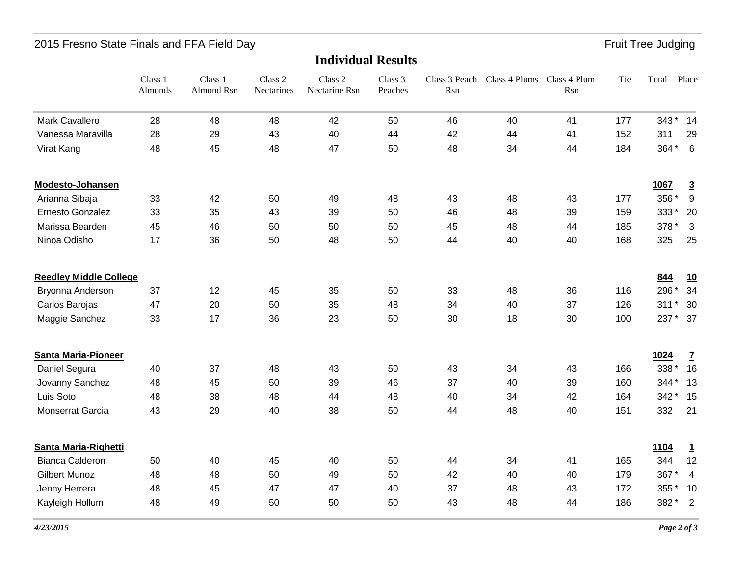## 2015 Fresno State Finals and FFA Field Day **Fruit Tree Judging** Fruit Tree Judging

|                               | Class 1<br>Almonds | Class 1<br><b>Almond Rsn</b> | Class 2<br>Nectarines | Class 2<br>Nectarine Rsn | Class 3<br>Peaches | Class 3 Peach<br>Rsn | Class 4 Plums Class 4 Plum | Rsn | Tie | Total       | Place            |
|-------------------------------|--------------------|------------------------------|-----------------------|--------------------------|--------------------|----------------------|----------------------------|-----|-----|-------------|------------------|
| Mark Cavallero                | 28                 | 48                           | 48                    | 42                       | 50                 | 46                   | 40                         | 41  | 177 | 343*        | 14               |
| Vanessa Maravilla             | 28                 | 29                           | 43                    | 40                       | 44                 | 42                   | 44                         | 41  | 152 | 311         | 29               |
| Virat Kang                    | 48                 | 45                           | 48                    | 47                       | 50                 | 48                   | 34                         | 44  | 184 | 364 *       | 6                |
| Modesto-Johansen              |                    |                              |                       |                          |                    |                      |                            |     |     | 1067        | $\overline{3}$   |
| Arianna Sibaja                | 33                 | 42                           | 50                    | 49                       | 48                 | 43                   | 48                         | 43  | 177 | 356 *       | $\boldsymbol{9}$ |
| Ernesto Gonzalez              | 33                 | 35                           | 43                    | 39                       | 50                 | 46                   | 48                         | 39  | 159 | 333*        | 20               |
| Marissa Bearden               | 45                 | 46                           | 50                    | 50                       | 50                 | 45                   | 48                         | 44  | 185 | 378 *       | $\mathbf{3}$     |
| Ninoa Odisho                  | 17                 | 36                           | 50                    | 48                       | 50                 | 44                   | 40                         | 40  | 168 | 325         | 25               |
| <b>Reedley Middle College</b> |                    |                              |                       |                          |                    |                      |                            |     |     | 844         | 10               |
| Bryonna Anderson              | 37                 | 12                           | 45                    | 35                       | 50                 | 33                   | 48                         | 36  | 116 | 296 *       | 34               |
| Carlos Barojas                | 47                 | 20                           | 50                    | 35                       | 48                 | 34                   | 40                         | 37  | 126 | $311*$      | 30               |
| Maggie Sanchez                | 33                 | 17                           | 36                    | 23                       | 50                 | 30                   | 18                         | 30  | 100 | 237 *       | 37               |
| <b>Santa Maria-Pioneer</b>    |                    |                              |                       |                          |                    |                      |                            |     |     | 1024        | $\overline{1}$   |
| Daniel Segura                 | 40                 | 37                           | 48                    | 43                       | 50                 | 43                   | 34                         | 43  | 166 | 338 *       | 16               |
| Jovanny Sanchez               | 48                 | 45                           | 50                    | 39                       | 46                 | 37                   | 40                         | 39  | 160 | 344 *       | 13               |
| Luis Soto                     | 48                 | 38                           | 48                    | 44                       | 48                 | 40                   | 34                         | 42  | 164 | 342 *       | 15               |
| Monserrat Garcia              | 43                 | 29                           | 40                    | 38                       | 50                 | 44                   | 48                         | 40  | 151 | 332         | 21               |
| Santa Maria-Righetti          |                    |                              |                       |                          |                    |                      |                            |     |     | <u>1104</u> | $\overline{1}$   |
| <b>Bianca Calderon</b>        | 50                 | 40                           | 45                    | 40                       | 50                 | 44                   | 34                         | 41  | 165 | 344         | 12               |
| <b>Gilbert Munoz</b>          | 48                 | 48                           | 50                    | 49                       | 50                 | 42                   | 40                         | 40  | 179 | 367*        | 4                |
| Jenny Herrera                 | 48                 | 45                           | 47                    | 47                       | 40                 | 37                   | 48                         | 43  | 172 | 355*        | 10               |
| Kayleigh Hollum               | 48                 | 49                           | 50                    | 50                       | 50                 | 43                   | 48                         | 44  | 186 | 382*        | $\overline{2}$   |

#### **Individual Results**